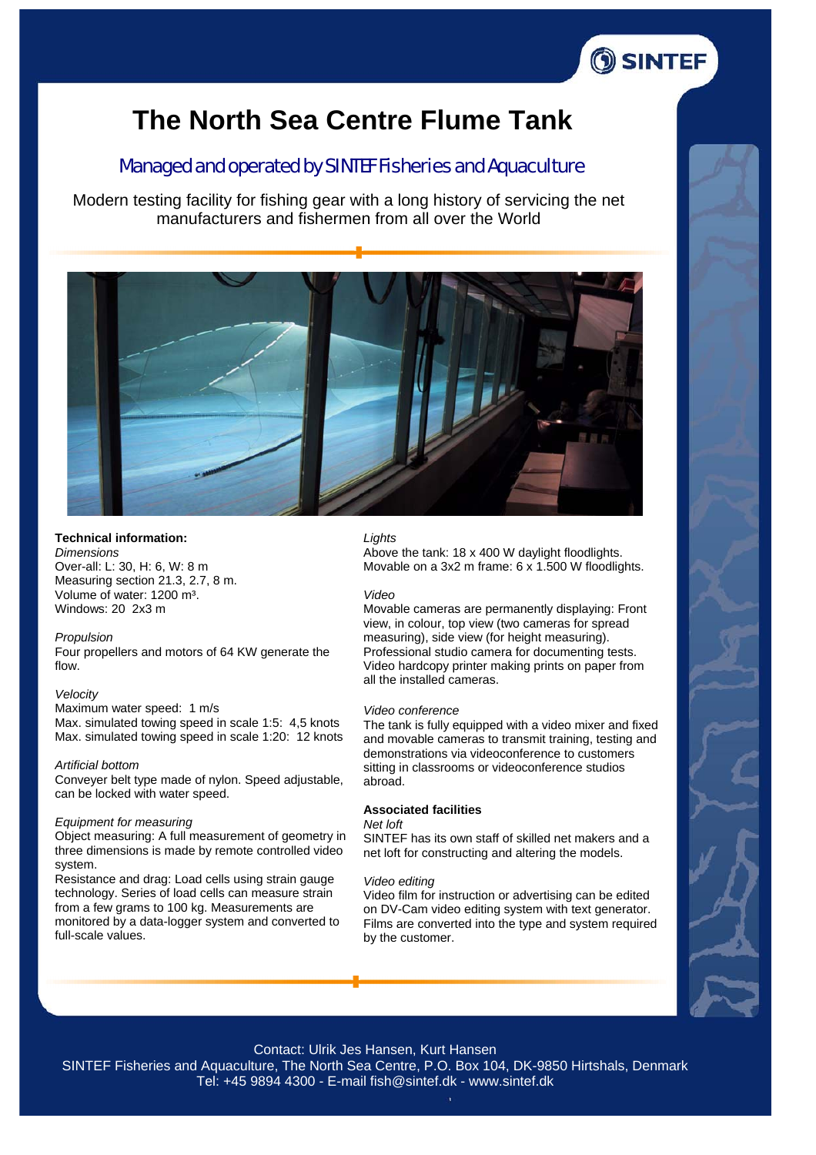

# **The North Sea Centre Flume Tank**

# Managed and operated by SINTEF Fisheries and Aquaculture

Modern testing facility for fishing gear with a long history of servicing the net manufacturers and fishermen from all over the World



## **Technical information:**

*Dimensions* Over-all: L: 30, H: 6, W: 8 m Measuring section 21.3, 2.7, 8 m. Volume of water: 1200 m<sup>3</sup>. Windows: 20 2x3 m

## *Propulsion*

Four propellers and motors of 64 KW generate the flow.

#### *Velocity*

Maximum water speed: 1 m/s Max. simulated towing speed in scale 1:5: 4,5 knots Max. simulated towing speed in scale 1:20: 12 knots

## *Artificial bottom*

Conveyer belt type made of nylon. Speed adjustable, can be locked with water speed.

#### *Equipment for measuring*

Object measuring: A full measurement of geometry in three dimensions is made by remote controlled video system.

Resistance and drag: Load cells using strain gauge technology. Series of load cells can measure strain from a few grams to 100 kg. Measurements are monitored by a data-logger system and converted to full-scale values.

## *Lights*

Above the tank: 18 x 400 W daylight floodlights. Movable on a 3x2 m frame: 6 x 1.500 W floodlights.

## *Video*

Movable cameras are permanently displaying: Front view, in colour, top view (two cameras for spread measuring), side view (for height measuring). Professional studio camera for documenting tests. Video hardcopy printer making prints on paper from all the installed cameras.

#### *Video conference*

The tank is fully equipped with a video mixer and fixed and movable cameras to transmit training, testing and demonstrations via videoconference to customers sitting in classrooms or videoconference studios abroad.

## **Associated facilities**

#### *Net loft*

SINTEF has its own staff of skilled net makers and a net loft for constructing and altering the models.

#### *Video editing*

Video film for instruction or advertising can be edited on DV-Cam video editing system with text generator. Films are converted into the type and system required by the customer.



### Contact: Ulrik Jes Hansen, Kurt Hansen

SINTEF Fisheries and Aquaculture, The North Sea Centre, P.O. Box 104, DK-9850 Hirtshals, Denmark Tel: +45 9894 4300 - E-mail fish@sintef.dk - www.sintef.dk